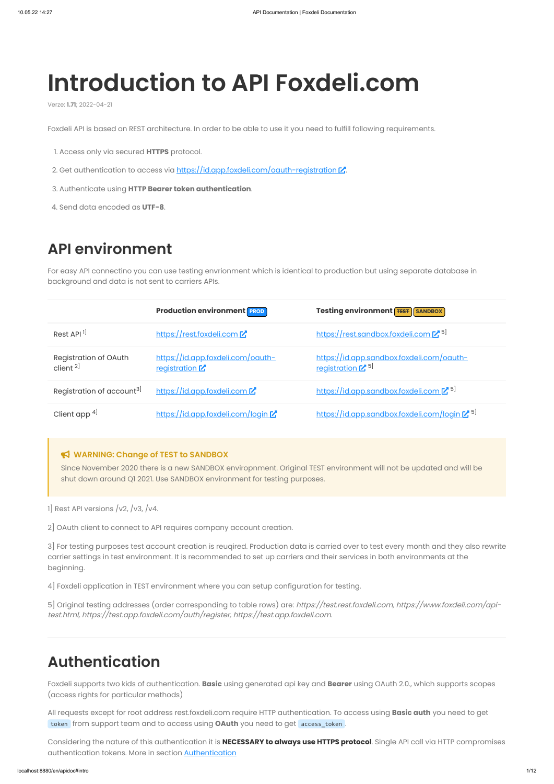Foxdeli API is based on REST architecture. In order to be able to use it you need to fulfill following requirements.

- 1. Access only via secured **HTTPS** protocol.
- 2. Get authentication to access via <https://id.app.foxdeli.com/oauth-registration>  $\mathbb{Z}$ .
- 3. Authenticate using **HTTP Bearer token authentication**.
- 4. Send data encoded as **UTF-8**.

# **API environment**

For easy API connectino you can use testing envrionment which is identical to production but using separate database in background and data is not sent to carriers APIs.

5] Original testing addresses (order corresponding to table rows) are: https://test.rest.foxdeli.com, https://www.foxdeli.com/apitest.html, https://test.app.foxdeli.com/auth/register, https://test.app.foxdeli.com.

#### **WARNING: Change of TEST to SANDBOX**

Considering the nature of this authentication it is **NECESSARY to always use HTTPS protocol**. Single API call via HTTP compromises authentication tokens. More in section **[Authentication](#page-5-0)** 

Since November 2020 there is a new SANDBOX enviropnment. Original TEST environment will not be updated and will be shut down around Q1 2021. Use SANDBOX environment for testing purposes.

1] Rest API versions  $/v2$ ,  $/v3$ ,  $/v4$ .

2] OAuth client to connect to API requires company account creation.

3] For testing purposes test account creation is reuqired. Production data is carried over to test every month and they also rewrite carrier settings in test environment. It is recommended to set up carriers and their services in both environments at the beginning.

|                                                      | <b>Production environment PROD</b>                           | Testing environment FEST SANDBOX                                          |
|------------------------------------------------------|--------------------------------------------------------------|---------------------------------------------------------------------------|
| Rest API <sup>1]</sup>                               | https://rest.foxdeli.com                                     | https://rest.sandbox.foxdeli.com [25]                                     |
| <b>Registration of OAuth</b><br>client <sup>2]</sup> | https://id.app.foxdeli.com/oauth-<br><u>registration</u> $Z$ | https://id.app.sandbox.foxdeli.com/oauth-<br>registration <sup>[75]</sup> |
| Registration of account <sup>3]</sup>                | https://id.app.foxdeli.com                                   | https://id.app.sandbox.foxdeli.com [2 5]                                  |
| Client app $4$                                       | https://id.app.foxdeli.com/login [                           | https://id.app.sandbox.foxdeli.com/login [2 5]                            |

4] Foxdeli application in TEST environment where you can setup configuration for testing.

# **Authentication**

Foxdeli supports two kids of authentication. **Basic** using generated api key and **Bearer** using OAuth 2.0., which supports scopes (access rights for particular methods)

All requests except for root address rest.foxdeli.com require HTTP authentication. To access using **Basic auth** you need to get token from support team and to access using **OAuth** you need to get access\_token .

# **Introduction to API Foxdeli.com**

Verze: **1.71**; 2022-04-21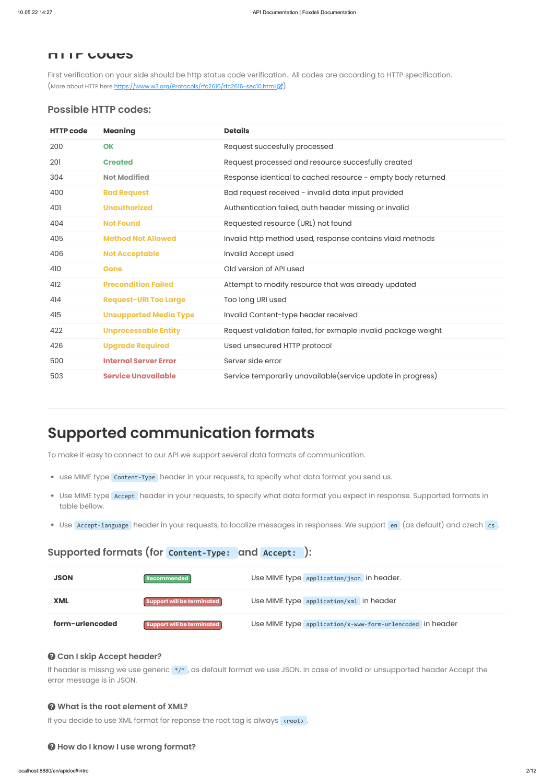First verification on your side should be http status code verification.. All codes are according to HTTP specification. (More about HTTP here <https://www.w3.org/Protocols/rfc2616/rfc2616-sec10.html>

### **HTTP codes**

# **Possible HTTP codes:**

- use MIME type Content-Type header in your requests, to specify what data format you send us.
- Use MIME type Accept header in your requests, to specify what data format you expect in response. Supported formats in table bellow.
- Use Accept-language header in your requests, to localize messages in responses. We support en (as default) and czech cs.

| <b>HTTP code</b> | <b>Meaning</b>                | <b>Details</b>                                                |
|------------------|-------------------------------|---------------------------------------------------------------|
| 200              | <b>OK</b>                     | Request succesfully processed                                 |
| 201              | <b>Created</b>                | Request processed and resource succesfully created            |
| 304              | <b>Not Modified</b>           | Response identical to cached resource - empty body returned   |
| 400              | <b>Bad Request</b>            | Bad request received - invalid data input provided            |
| 401              | <b>Unauthorized</b>           | Authentication failed, auth header missing or invalid         |
| 404              | <b>Not Found</b>              | Requested resource (URL) not found                            |
| 405              | <b>Method Not Allowed</b>     | Invalid http method used, response contains vlaid methods     |
| 406              | <b>Not Acceptable</b>         | Invalid Accept used                                           |
| 410              | Gone                          | Old version of API used                                       |
| 412              | <b>Precondition Failed</b>    | Attempt to modify resource that was already updated           |
| 414              | <b>Request-URI Too Large</b>  | Too long URI used                                             |
| 415              | <b>Unsupported Media Type</b> | Invalid Content-type header received                          |
| 422              | <b>Unprocessable Entity</b>   | Request validation failed, for exmaple invalid package weight |
| 426              | <b>Upgrade Required</b>       | Used unsecured HTTP protocol                                  |
| 500              | <b>Internal Server Error</b>  | Server side error                                             |
| 503              | <b>Service Unavailable</b>    | Service temporarily unavailable (service update in progress)  |

If header is missng we use generic \*/\*, as default format we use JSON. In case of invalid or unsupported header Accept the error message is in JSON.

# **Supported communication formats**

To make it easy to connect to our API we support several data formats of communication.

# **Supported formats (for Content-Type: and Accept: ):**



## **Can I skip Accept header?**

### **What is the root element of XML?**

If you decide to use XML format for reponse the root tag is always croot>.

### **How do I know I use wrong format?**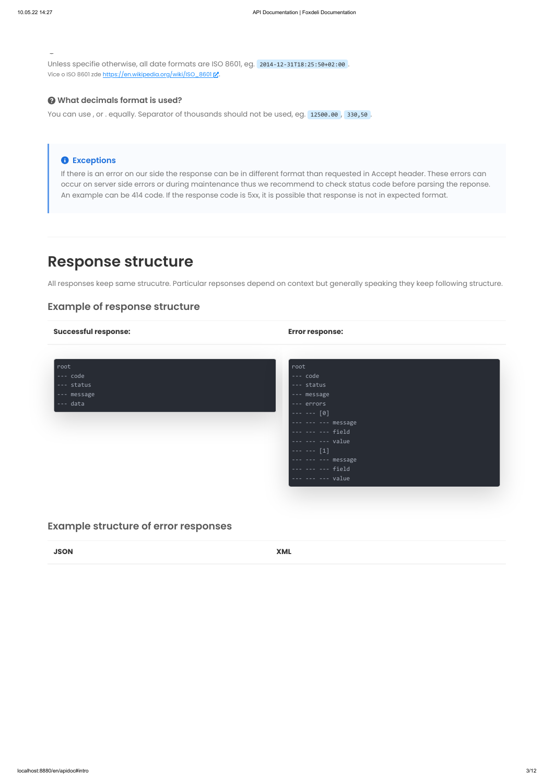localhost:8880/en/apidoc#intro 3/12

Unless specifie otherwise, all date formats are ISO 8601, eg. 2014-12-31T18:25:50+02:00 . Více o ISO 8601 zde [https://en.wikipedia.org/wiki/ISO\\_8601](https://en.wikipedia.org/wiki/ISO_8601) ...

#### **What decimals format is used?**

You can use, or . equally. Separator of thousands should not be used, eg. 12500.00, 330,50.

### **Exceptions**

If there is an error on our side the response can be in different format than requested in Accept header. These errors can occur on server side errors or during maintenance thus we recommend to check status code before parsing the reponse. An example can be 414 code. If the response code is 5xx, it is possible that response is not in expected format.

# **Response structure**

All responses keep same strucutre. Particular repsonses depend on context but generally speaking they keep following structure.

# **Example of response structure**

| <b>Successful response:</b> | <b>Error response:</b>                                                          |
|-----------------------------|---------------------------------------------------------------------------------|
|                             |                                                                                 |
| root                        | root                                                                            |
| --- code                    | --- code                                                                        |
| --- status                  | --- status                                                                      |
| --- message                 | --- message                                                                     |
| $---$ data                  | --- errors                                                                      |
|                             | $--- - - [0]$                                                                   |
|                             |                                                                                 |
|                             | --- --- --- field                                                               |
|                             | $------ ---- value$                                                             |
|                             | $--- - - - [1]$                                                                 |
|                             | --- --- --- message                                                             |
|                             | --- --- --- field                                                               |
|                             | $\left  \begin{array}{cccc} - - & - - & - - & \text{value} \end{array} \right $ |
|                             |                                                                                 |
|                             |                                                                                 |

# **Example structure of error responses**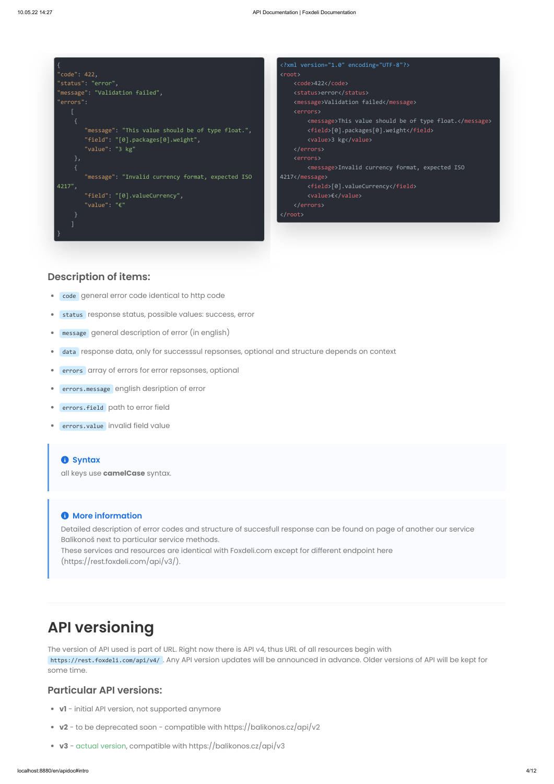|                                                                                                                                                                         | xml version="1.0" encoding="UTF-8"?                                                                                                                                                                                   |
|-------------------------------------------------------------------------------------------------------------------------------------------------------------------------|-----------------------------------------------------------------------------------------------------------------------------------------------------------------------------------------------------------------------|
| " $code$ ": 422,                                                                                                                                                        | <root></root>                                                                                                                                                                                                         |
| "status": "error",                                                                                                                                                      | <code>422</code>                                                                                                                                                                                                      |
| "message": "Validation failed",                                                                                                                                         | <status>error</status>                                                                                                                                                                                                |
| "errors":                                                                                                                                                               | <message>Validation failed</message>                                                                                                                                                                                  |
|                                                                                                                                                                         | <errors></errors>                                                                                                                                                                                                     |
| "message": "This value should be of type float.",<br>"field": $"[0].packages[0].weight",$<br>"value": "3 kg"<br>},<br>"message": "Invalid currency format, expected ISO | <message>This value should be of type float.</message><br><field>[0].packages[0].weight</field><br><value>3 kg</value><br><br><errors><br/><message>Invalid currency format, expected ISO<br/>4217</message></errors> |
| 4217",                                                                                                                                                                  | <field>[0].valueCurrency</field>                                                                                                                                                                                      |
| "field": "[0].valueCurrency",                                                                                                                                           | <value>€</value>                                                                                                                                                                                                      |
| "value": $" \in"$                                                                                                                                                       |                                                                                                                                                                                                                       |
|                                                                                                                                                                         |                                                                                                                                                                                                                       |
|                                                                                                                                                                         |                                                                                                                                                                                                                       |
|                                                                                                                                                                         |                                                                                                                                                                                                                       |

- code general error code identical to http code  $\bullet$
- status response status, possible values: success, error ۰
- message general description of error (in english)  $\bullet$
- data response data, only for successsul repsonses, optional and structure depends on context  $\bullet$
- errors array of errors for error repsonses, optional  $\bullet$
- errors.message english desription of error
- errors.field path to error field
- errors.value invalid field value

#### **8** Syntax

# **Description of items:**

all keys use **camelCase** syntax.

### **A** More information

Detailed description of error codes and structure of succesfull response can be found on page of another our service Balíkonoš next to particular service methods.

These services and resources are identical with Foxdeli.com except for different endpoint here (https://rest.foxdeli.com/api/v3/).

# **API versioning**

The version of API used is part of URL. Right now there is API v4, thus URL of all resources begin with https://rest.foxdeli.com/api/v4/ . Any API version updates will be announced in advance. Older versions of API will be kept for some time.

# **Particular API versions:**

- **v1** initial API version, not supported anymore
- **v2** to be deprecated soon compatible with https://balikonos.cz/api/v2
- **v3** actual version, compatible with https://balikonos.cz/api/v3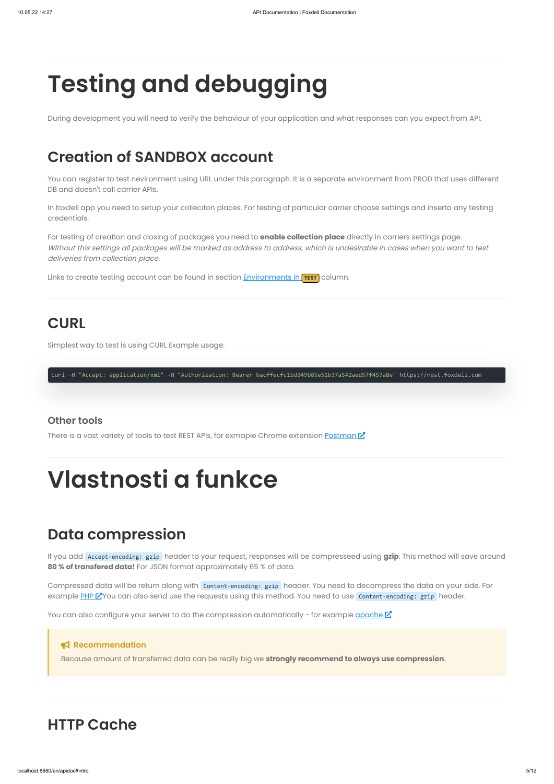During development you will need to verify the behaviour of your application and what responses can you expect from API.

# **Creation of SANDBOX account**

You can register to test nevironment using URL under this paragraph. It is a separate environment from PROD that uses different DB and doesn't call carrier APIs.

In foxdeli app you need to setup your colleciton places. For testing of particular carrier choose settings and inserta any testing credentials.

For testing of creation and closing of packages you need to **enable collection place** directly in carriers settings page. Without this settings all packages will be marked as address to address, which is undesirable in cases when you want to test deliveries from collection place.

Links to create testing account can be found in section **[Environments in](http://localhost:8880/apidoc#environment) TEST** column.

# **CURL**

Simplest way to test is using CURL Example usage:

curl -H "Accept: application/xml" -H "Authorization: Bearer bacffecfc1bd349b85e51b37a542aed57f457a8e" https://rest.foxdeli.com

## **Other tools**

There is a vast variety of tools to test REST APIs, for exmaple Chrome extension [Postman](https://chrome.google.com/webstore/detail/postman/fhbjgbiflinjbdggehcddcbncdddomop) **[7]** 

# **Data compression**

If you add Accept-encoding: gzip header to your request, responses will be compresseed using **gzip**. This method will save around **80 % of transfered data!** For JSON format approximately 65 % of data.

Compressed data will be return along with content-encoding: gzip header. You need to decompress the data on your side. For

example [PHP](https://www.php.net/manual/en/function.gzdecode.php) MY You can also send use the requests using this method. You need to use Content-encoding: gzip header.

You can also configure your server to do the compression automatically - for example  $q$  and  $\mathcal{C}$ 

#### **Recommendation**

Because amount of transferred data can be really big we **strongly recommend to always use compression**.

# **HTTP Cache**

# **Testing and debugging**

# **Vlastnosti a funkce**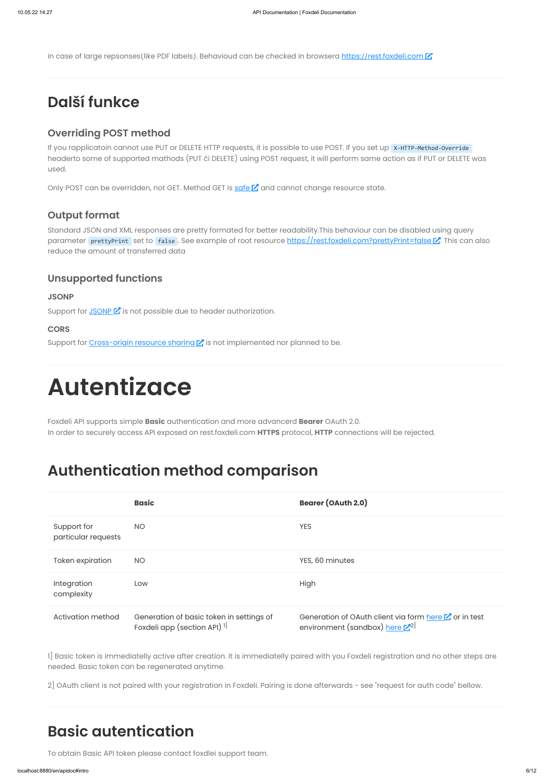in case of large repsonses(like PDF labels). Behavioud can be checked in browsera [https://rest.foxdeli.com](https://rest.foxdeli.com/) [

If you rapplicatoin cannot use PUT or DELETE HTTP requests, it is possible to use POST. If you set up X-HTTP-Method-Override headerto some of supported mathods (PUT či DELETE) using POST request, it will perform same action as if PUT or DELETE was used.

Only POST can be overridden, not GET. Method GET is [safe](https://en.wikipedia.org/wiki/Hypertext_Transfer_Protocol#Safe_methods) [Z] and cannot change resource state.

# **Další funkce**

# **Overriding POST method**

Activation method Generation of basic token in settings of Foxdeli app (section API)<sup>1]</sup>

Generation of OAuth client via form [here](https://id.app.foxdeli.com/oauth-registration)  $\mathbb Z$  or in test <sup>1]</sup> environment (sandbox) <u>[here](https://id.app.sandbox.foxdeli.com/oauth-registration) [Z</u><sup>2]</sup>

# **Output format**

Standard JSON and XML responses are pretty formated for better readability.This behaviour can be disabled using query parameter prettyPrint set to false. See example of root resource [https://rest.foxdeli.com?prettyPrint=false](https://rest.foxdeli.com/?prettyPrint=false) [Z]. This can also reduce the amount of transferred data

# **Unsupported functions**

### **JSONP**

Support for  $JSONP\ Z$  $JSONP\ Z$  is not possible due to header authorization.

## **CORS**

Support for [Cross-origin](https://en.wikipedia.org/wiki/Cross-origin_resource_sharing) resource sharing  $\mathbb{Z}$  is not implemented nor planned to be.

Foxdeli API supports simple **Basic** authentication and more advancerd **Bearer** OAuth 2.0. In order to securely access API exposed on rest.foxdeli.com **HTTPS** protocol, **HTTP** connections will be rejected.

# **Authentication method comparison**

|                                    | <b>Basic</b> | <b>Bearer (OAuth 2.0)</b> |
|------------------------------------|--------------|---------------------------|
| Support for<br>particular requests | <b>NO</b>    | <b>YES</b>                |
| Token expiration                   | <b>NO</b>    | YES, 60 minutes           |
| Integration                        | Low          | High                      |

complexity

1] Basic token is immediatelly active after creation. It is immediatelly paired with you Foxdeli registration and no other steps are needed. Basic token can be regenerated anytime.

2] OAuth client is not paired with your registration in Foxdeli. Pairing is done afterwards - see "request for auth code" bellow.

# **Basic autentication**

To obtain Basic API token please contact foxdlei support team.

# <span id="page-5-0"></span>**Autentizace**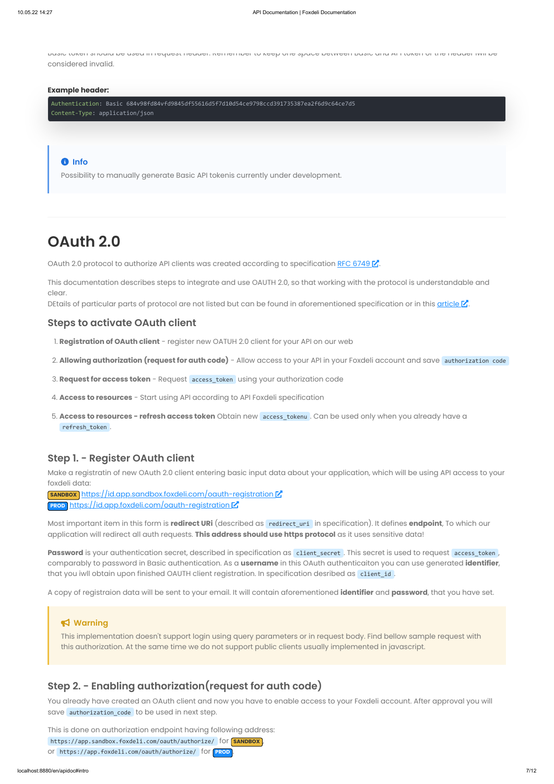Basic token should be used in request header. Remember to keep one space between Basic and API token or the header iwll be considered invalid.

#### **Example header:**

Authentication: Basic 684v98fd84vfd9845df55616d5f7d10d54ce9798ccd391735387ea2f6d9c64ce7d5 Content-Type: application/json

#### **B** Info

Possibility to manually generate Basic API tokenis currently under development.

# **OAuth 2.0**

OAuth 2.0 protocol to authorize API clients was created according to specification RFC [6749](https://tools.ietf.org/html/rfc6749)  $\mathbb{Z}$ .

This documentation describes steps to integrate and use OAUTH 2.0, so that working with the protocol is understandable and clear.

DEtails of particular parts of protocol are not listed but can be found in aforementioned specification or in this [article](http://aaronparecki.com/articles/2012/07/29/1/oauth2-simplified)  $\mathbb{Z}$ .

## **Steps to activate OAuth client**

- 1. **Registration of OAuth client** register new OATUH 2.0 client for your API on our web
- 2. **Allowing authorization (request for auth code)** Allow access to your API in your Foxdeli account and save authorization code
- 3. **Request for access token** Request access\_token using your authorization code
- 4. **Access to resources** Start using API according to API Foxdeli specification
- 5. **Access to resources - refresh access token** Obtain new access\_tokenu . Can be used only when you already have a refresh\_token .

You already have created an OAuth client and now you have to enable access to your Foxdeli account. After approval you will save authorization\_code to be used in next step.

## **Step 1. - Register OAuth client**

Make a registratin of new OAuth 2.0 client entering basic input data about your application, which will be using API access to your foxdeli data:

**SANDBOX** <https://id.app.sandbox.foxdeli.com/oauth-registration> [2] PROD <https://id.app.foxdeli.com/oauth-registration><sup>7</sup>

Most important item in this form is **redirect URi** (described as redirect\_uri in specification). It defines **endpoint**, To which our application will redirect all auth requests. **This address should use https protocol** as it uses sensitive data!

Password is your authentication secret, described in specification as client\_secret . This secret is used to request access\_token, comparably to password in Basic authentication. As a **username** in this OAuth authenticaiton you can use generated **identifier**, that you iwll obtain upon finished OAUTH client registration. In specification desribed as client\_id.

A copy of registraion data will be sent to your email. It will contain aforementioned **identifier** and **password**, that you have set.

# **Warning**

This implementation doesn't support login using query parameters or in request body. Find bellow sample request with this authorization. At the same time we do not support public clients usually implemented in javascript.

# **Step 2. - Enabling authorization(request for auth code)**

This is done on authorization endpoint having following address: https://app.sandbox.foxdeli.com/oauth/authorize/ for **SANDBOX** or https://app.foxdeli.com/oauth/authorize/ for **PROD** .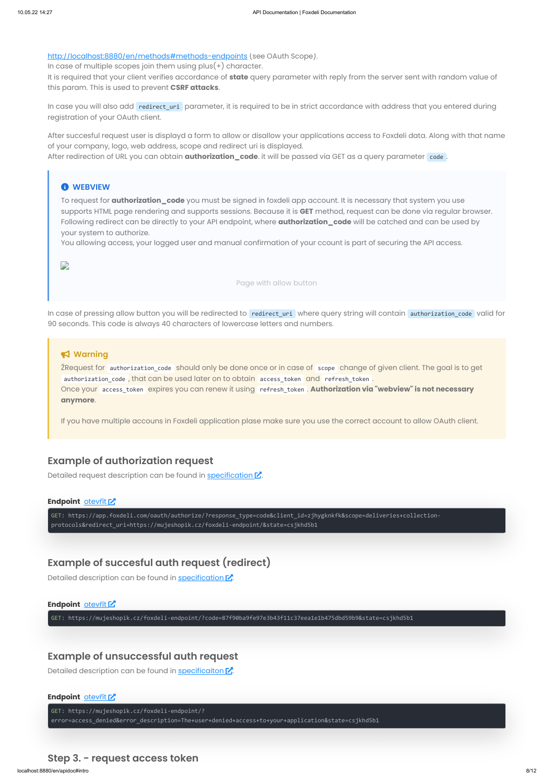<http://localhost:8880/en/methods#methods-endpoints> (see OAuth Scope).

localhost:8880/en/apidoc#intro 8/12

In case you will also add redirect\_uri parameter, it is required to be in strict accordance with address that you entered during registration of your OAuth client.

In case of multiple scopes join them using plus(+) character.

It is required that your client verifies accordance of **state** query parameter with reply from the server sent with random value of this param. This is used to prevent **CSRF attacks**.

After succesful request user is displayd a form to allow or disallow your applications access to Foxdeli data. Along with that name of your company, logo, web address, scope and redirect uri is displayed.

After redirection of URL you can obtain **authorization\_code**. it will be passed via GET as a query parameter code.

#### *<u>O* WEBVIEW</u>

In case of pressing allow button you will be redirected to redirect\_uri where query string will contain authorization\_code valid for 90 seconds. This code is always 40 characters of lowercase letters and numbers.

To request for **authorization\_code** you must be signed in foxdeli app account. It is necessary that system you use supports HTML page rendering and supports sessions. Because it is **GET** method, request can be done via regular browser. Following redirect can be directly to your API endpoint, where **authorization\_code** will be catched and can be used by your system to authorize.

You allowing access, your logged user and manual confirmation of your ccount is part of securing the API access.

 $\Box$ 

Page with allow button

### **Warning**

ŽRequest for authorization\_code should only be done once or in case of scope change of given client. The goal is to get authorization code , that can be used later on to obtain access token and refresh token . Once your access\_token expires you can renew it using refresh\_token . **Authorization via "webview" is not necessary anymore**.

If you have multiple accouns in Foxdeli application plase make sure you use the correct account to allow OAuth client.

## **Example of authorization request**

Detailed request description can be found in [specification](https://tools.ietf.org/html/rfc6749#section-4.1.1)  $Z$ .

#### **Endpoint** [otev](https://app.foxdeli.com/oauth/authorize/?response_type=code&client_id=zjhygknkfk&scope=deliveries+collection-protocols&redirect_uri=https://mujeshopik.cz/foxdeli-endpoint/&state=csjkhd5b1)řít K

GET: https://app.foxdeli.com/oauth/authorize/?response\_type=code&client\_id=zjhygknkfk&scope=deliveries+collectionprotocols&redirect\_uri=https://mujeshopik.cz/foxdeli-endpoint/&state=csjkhd5b1

# **Example of succesful auth request (redirect)**

Detailed description can be found in [specification](https://tools.ietf.org/html/rfc6749#section-4.1.2)  $\mathbb Z$ .

### **Endpoint** [otev](https://mujeshopik.cz/foxdeli-endpoint/?code=87f90ba9fe97e3b43f11c37eea1e1b475dbd59b9&state=csjkhd5b1)řít C

GET: https://mujeshopik.cz/foxdeli-endpoint/?code=87f90ba9fe97e3b43f11c37eea1e1b475dbd59b9&state=csjkhd5b1

# **Example of unsuccessful auth request**

Detailed description can be found in [specificaiton](https://tools.ietf.org/html/rfc6749#section-4.1.2.1)  $\nabla$ .

#### **Endpoint** [otev](https://mujeshopik.cz/foxdeli-endpoint/?error=access_denied&error_description=The+user+denied+access+to+your+application&state=csjkhd5b1)řít [Z]

GET: https://mujeshopik.cz/foxdeli-endpoint/?

error=access\_denied&error\_description=The+user+denied+access+to+your+application&state=csjkhd5b1

## **Step 3. - request access token**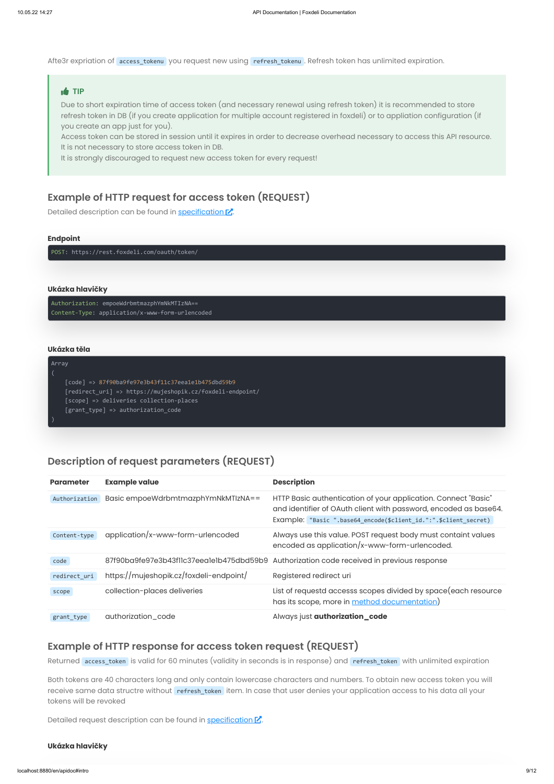Afte3r expriation of access\_tokenu you request new using refresh\_tokenu. Refresh token has unlimited expiration.

#### **TIP**

Due to short expiration time of access token (and necessary renewal using refresh token) it is recommended to store refresh token in DB (if you create application for multiple account registered in foxdeli) or to appliation configuration (if you create an app just for you).

Access token can be stored in session until it expires in order to decrease overhead necessary to access this API resource. It is not necessary to store access token in DB.

It is strongly discouraged to request new access token for every request!

# **Example of HTTP request for access token (REQUEST)**

Detailed description can be found in [specification](https://tools.ietf.org/html/rfc6749#section-4.1.3)  $\mathbb{Z}$ .

#### **Endpoint**

POST: https://rest.foxdeli.com/oauth/token/

#### **Ukázka hlavičky**

Authorization: empoeWdrbmtmazphYmNkMTIzNA== Content-Type: application/x-www-form-urlencoded

#### **Ukázka těla**

Array

[code] => 87f90ba9fe97e3b43f11c37eea1e1b475dbd59b9 [redirect\_uri] => https://mujeshopik.cz/foxdeli-endpoint/ [scope] => deliveries collection-places [grant\_type] => authorization\_code

# **Description of request parameters (REQUEST)**

| <b>Parameter</b> | <b>Example value</b>                     | <b>Description</b>                                                                                                                                                                                     |
|------------------|------------------------------------------|--------------------------------------------------------------------------------------------------------------------------------------------------------------------------------------------------------|
| Authorization    | Basic empoeWdrbmtmazphYmNkMTIzNA==       | HTTP Basic authentication of your application. Connect "Basic"<br>and identifier of OAuth client with password, encoded as base64.<br>Example: "Basic ".base64_encode(\$client_id.":".\$client_secret) |
| Content-type     | application/x-www-form-urlencoded        | Always use this value. POST request body must containt values<br>encoded as application/x-www-form-urlencoded.                                                                                         |
| code             | 87f90ba9fe97e3b43f11c37eea1e1b475dbd59b9 | Authorization code received in previous response                                                                                                                                                       |
| redirect_uri     | https://mujeshopik.cz/foxdeli-endpoint/  | Registered redirect uri                                                                                                                                                                                |
| scope            | collection-places deliveries             | List of requestd accesss scopes divided by space (each resource<br>has its scope, more in method documentation)                                                                                        |
| grant_type       | authorization_code                       | Always just <b>authorization_code</b>                                                                                                                                                                  |

# **Example of HTTP response for access token request (REQUEST)**

Returned access\_token is valid for 60 minutes (validity in seconds is in response) and refresh\_token with unlimited expiration

Both tokens are 40 characters long and only contain lowercase characters and numbers. To obtain new access token you will receive same data structre without refresh\_token item. In case that user denies your application access to his data all your tokens will be revoked

Detailed request description can be found in [specification](https://tools.ietf.org/html/rfc6749#section-4.1.4)  $\mathbb{Z}$ .

#### **Ukázka hlavičky**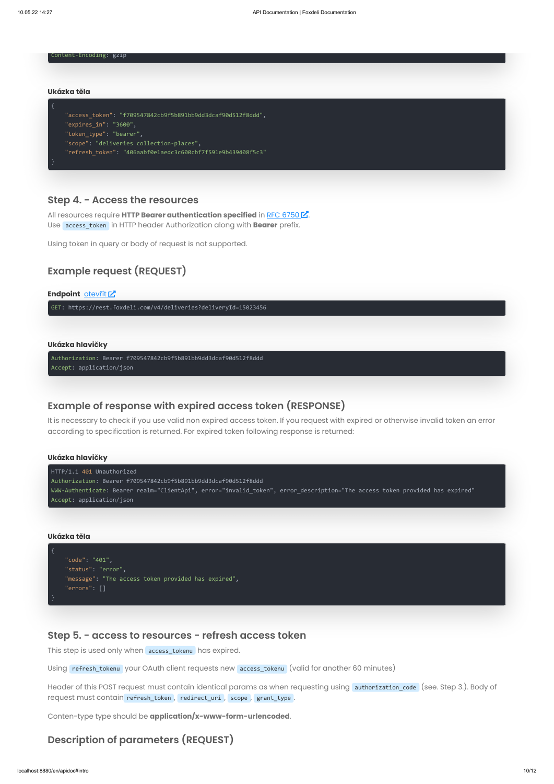Content-Encoding: gzip

#### **Ukázka těla**

```
"access_token": "f709547842cb9f5b891bb9dd3dcaf90d512f8ddd",
"expires_in": "3600",
"token type": "bearer",
"scope": "deliveries collection-places",
"refresh_token": "406aabf0e1aedc3c600cbf7f591e9b439408f5c3"
```
}

### **Step 4. - Access the resources**

All resources require **HTTP Bearer authentication specified** in RFC [6750](https://tools.ietf.org/html/rfc6750) . Use access\_token in HTTP header Authorization along with **Bearer** prefix.

Using token in query or body of request is not supported.

# **Example request (REQUEST)**

#### **Endpoint** [otev](https://rest.foxdeli.com/v4/deliveries?deliveryId=15023456)řít [Z]

GET: https://rest.foxdeli.com/v4/deliveries?deliveryId=15023456

#### **Ukázka hlavičky**

Authorization: Bearer f709547842cb9f5b891bb9dd3dcaf90d512f8ddd Accept: application/json

# **Example of response with expired access token (RESPONSE)**

It is necessary to check if you use valid non expired access token. If you request with expired or otherwise invalid token an error according to specification is returned. For expired token following response is returned:

# **Ukázka hlavičky** HTTP/1.1 401 Unauthorized Authorization: Bearer f709547842cb9f5b891bb9dd3dcaf90d512f8ddd WWW-Authenticate: Bearer realm="ClientApi", error="invalid\_token", error\_description="The access token provided has expired" Accept: application/json

#### **Ukázka těla**

"code": "401", "status": "error", "message": "The access token provided has expired", "errors": []

}

# **Step 5. - access to resources - refresh access token**

This step is used only when access\_tokenu has expired.

Using refresh\_tokenu your OAuth client requests new access\_tokenu (valid for another 60 minutes)

Header of this POST request must contain identical params as when requesting using authorization\_code (see. Step 3.). Body of request must contain refresh\_token, redirect\_uri, scope, grant\_type.

Conten-type type should be **application/x-www-form-urlencoded**.

# **Description of parameters (REQUEST)**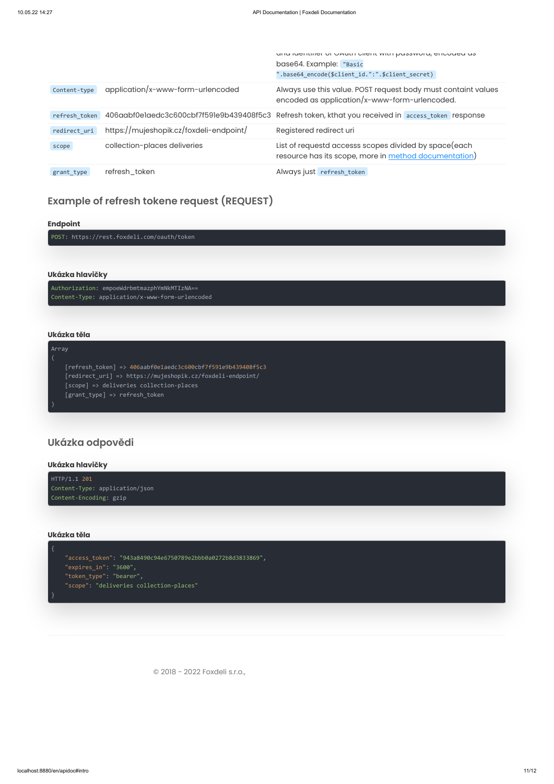|               |                                          | and identities of Optatic profit with pussword, onloaded us                                                     |
|---------------|------------------------------------------|-----------------------------------------------------------------------------------------------------------------|
|               |                                          | base64. Example: "Basic                                                                                         |
|               |                                          | ".base64_encode(\$client_id.":".\$client_secret)                                                                |
| Content-type  | application/x-www-form-urlencoded        | Always use this value. POST request body must containt values<br>encoded as application/x-www-form-urlencoded.  |
| refresh token | 406aabf0elaedc3c600cbf7f59le9b439408f5c3 | Refresh token, kthat you received in access_token response                                                      |
| redirect uri  | https://mujeshopik.cz/foxdeli-endpoint/  | Registered redirect uri                                                                                         |
| scope         | collection-places deliveries             | List of requestd accesss scopes divided by space (each<br>resource has its scope, more in method documentation) |
| grant type    | refresh_token                            | Always just refresh_token                                                                                       |

# **Example of refresh tokene request (REQUEST)**

#### **Endpoint**

POST: https://rest.foxdeli.com/oauth/token

#### **Ukázka hlavičky**

Authorization: empoeWdrbmtmazphYmNkMTIzNA== Content-Type: application/x-www-form-urlencoded

#### **Ukázka těla**

### Array

[refresh\_token] => 406aabf0e1aedc3c600cbf7f591e9b439408f5c3 [redirect\_uri] => https://mujeshopik.cz/foxdeli-endpoint/ [scope] => deliveries collection-places [grant\_type] => refresh\_token

# **Ukázka odpovědi**

#### **Ukázka hlavičky**

HTTP/1.1 201 Content-Type: application/json Content-Encoding: gzip

### **Ukázka těla**

"access\_token": "943a8490c94e6750789e2bbb0a0272b8d3833869", "expires\_in": "3600", "token\_type": "bearer", "scope": "deliveries collection-places"



© 2018 - 2022 Foxdeli s.r.o.,